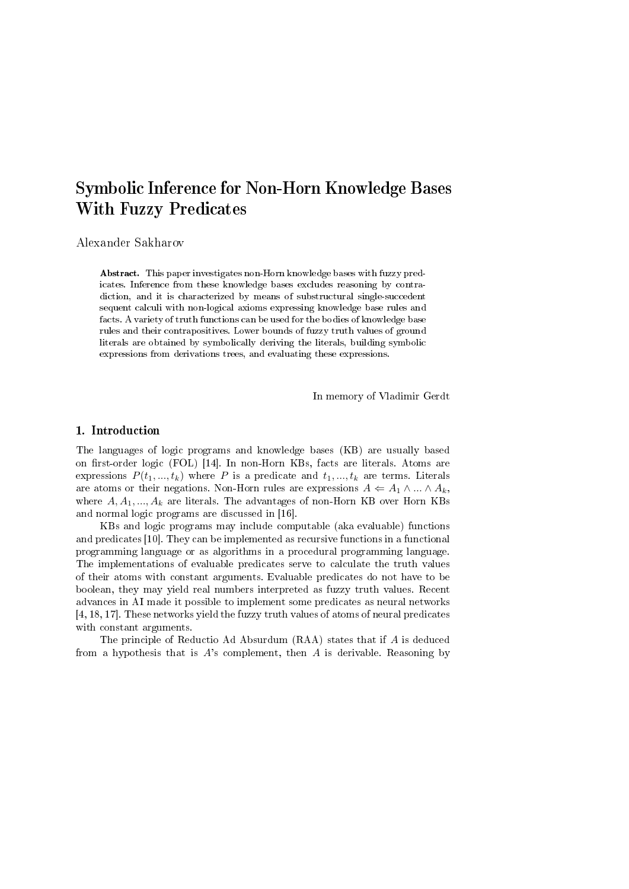# Symbolic Inference for Non-Horn Knowledge Bases With Fuzzy Predicates

Alexander Sakharov

Abstract. This paper investigates non-Horn knowledge bases with fuzzy predicates. Inference from these knowledge bases excludes reasoning by contradiction, and it is characterized by means of substructural single-succedent sequent calculi with non-logical axioms expressing knowledge base rules and facts. A variety of truth functions can be used for the bodies of knowledge base rules and their contrapositives. Lower bounds of fuzzy truth values of ground literals are obtained by symbolically deriving the literals, building symbolic expressions from derivations trees, and evaluating these expressions.

In memory of Vladimir Gerdt

## 1. Introduction

The languages of logic programs and knowledge bases (KB) are usually based on first-order logic (FOL) [14]. In non-Horn KBs, facts are literals. Atoms are expressions  $P(t_1, ..., t_k)$  where P is a predicate and  $t_1, ..., t_k$  are terms. Literals are atoms or their negations. Non-Horn rules are expressions  $A \leftarrow A_1 \wedge ... \wedge A_k$ , where  $A, A_1, ..., A_k$  are literals. The advantages of non-Horn KB over Horn KBs and normal logic programs are discussed in [16].

KBs and logic programs may include computable (aka evaluable) functions and predicates [10]. They can be implemented as recursive functions in a functional programming language or as algorithms in a procedural programming language. The implementations of evaluable predicates serve to calculate the truth values of their atoms with constant arguments. Evaluable predicates do not have to be boolean, they may yield real numbers interpreted as fuzzy truth values. Recent advances in AI made it possible to implement some predicates as neural networks [4, 18, 17]. These networks yield the fuzzy truth values of atoms of neural predicates with constant arguments.

The principle of Reductio Ad Absurdum (RAA) states that if A is deduced from a hypothesis that is  $A$ 's complement, then  $A$  is derivable. Reasoning by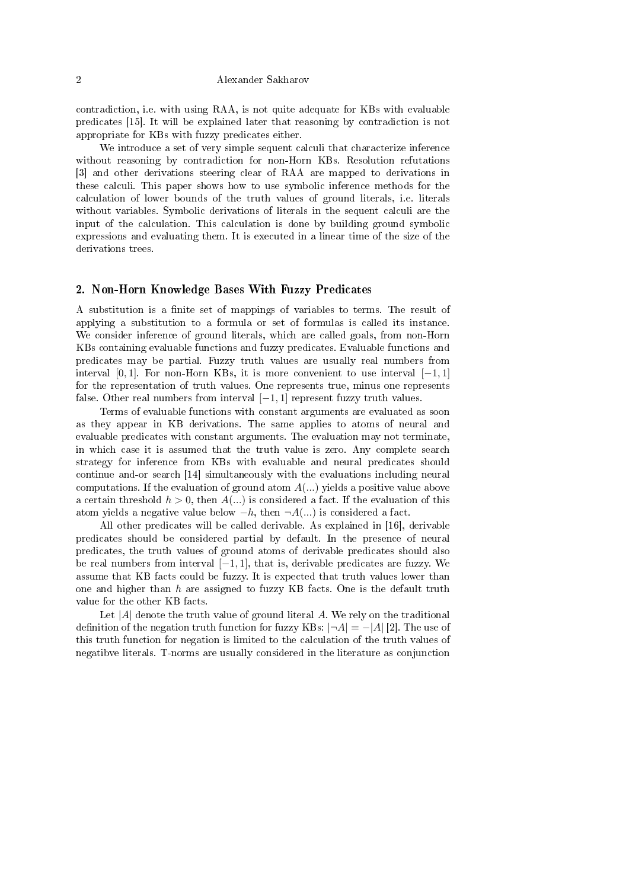#### 2 Alexander Sakharov

contradiction, i.e. with using RAA, is not quite adequate for KBs with evaluable predicates [15]. It will be explained later that reasoning by contradiction is not appropriate for KBs with fuzzy predicates either.

We introduce a set of very simple sequent calculi that characterize inference without reasoning by contradiction for non-Horn KBs. Resolution refutations [3] and other derivations steering clear of RAA are mapped to derivations in these calculi. This paper shows how to use symbolic inference methods for the calculation of lower bounds of the truth values of ground literals, i.e. literals without variables. Symbolic derivations of literals in the sequent calculi are the input of the calculation. This calculation is done by building ground symbolic expressions and evaluating them. It is executed in a linear time of the size of the derivations trees.

## 2. Non-Horn Knowledge Bases With Fuzzy Predicates

A substitution is a nite set of mappings of variables to terms. The result of applying a substitution to a formula or set of formulas is called its instance. We consider inference of ground literals, which are called goals, from non-Horn KBs containing evaluable functions and fuzzy predicates. Evaluable functions and predicates may be partial. Fuzzy truth values are usually real numbers from interval [0, 1]. For non-Horn KBs, it is more convenient to use interval  $[-1, 1]$ for the representation of truth values. One represents true, minus one represents false. Other real numbers from interval  $[-1, 1]$  represent fuzzy truth values.

Terms of evaluable functions with constant arguments are evaluated as soon as they appear in KB derivations. The same applies to atoms of neural and evaluable predicates with constant arguments. The evaluation may not terminate, in which case it is assumed that the truth value is zero. Any complete search strategy for inference from KBs with evaluable and neural predicates should continue and-or search [14] simultaneously with the evaluations including neural computations. If the evaluation of ground atom  $A(...)$  yields a positive value above a certain threshold  $h > 0$ , then  $A(...)$  is considered a fact. If the evaluation of this atom yields a negative value below  $-h$ , then  $\neg A(...)$  is considered a fact.

All other predicates will be called derivable. As explained in [16], derivable predicates should be considered partial by default. In the presence of neural predicates, the truth values of ground atoms of derivable predicates should also be real numbers from interval  $[-1, 1]$ , that is, derivable predicates are fuzzy. We assume that KB facts could be fuzzy. It is expected that truth values lower than one and higher than  $h$  are assigned to fuzzy KB facts. One is the default truth value for the other KB facts.

Let  $|A|$  denote the truth value of ground literal A. We rely on the traditional definition of the negation truth function for fuzzy KBs:  $|\neg A| = -|A|$  [2]. The use of this truth function for negation is limited to the calculation of the truth values of negatibve literals. T-norms are usually considered in the literature as conjunction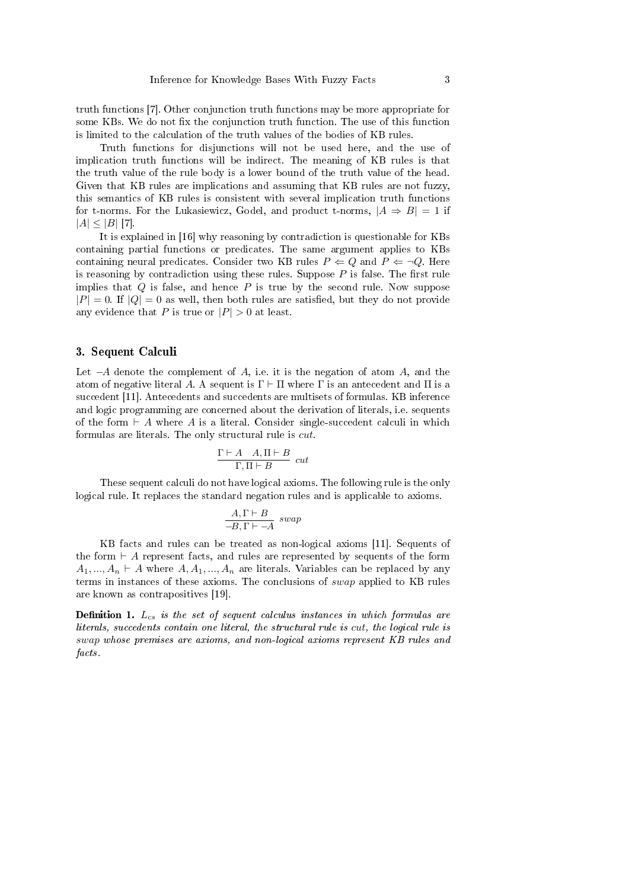truth functions [7]. Other conjunction truth functions may be more appropriate for some KBs. We do not fix the conjunction truth function. The use of this function is limited to the calculation of the truth values of the bodies of KB rules.

Truth functions for disjunctions will not be used here, and the use of implication truth functions will be indirect. The meaning of KB rules is that the truth value of the rule body is a lower bound of the truth value of the head. Given that KB rules are implications and assuming that KB rules are not fuzzy, this semantics of KB rules is consistent with several implication truth functions for t-norms. For the Lukasiewicz, Godel, and product t-norms,  $|A \Rightarrow B| = 1$  if  $|A| \leq |B|$  [7].

It is explained in [16] why reasoning by contradiction is questionable for KBs containing partial functions or predicates. The same argument applies to KBs containing neural predicates. Consider two KB rules  $P \Leftarrow Q$  and  $P \Leftarrow \neg Q$ . Here is reasoning by contradiction using these rules. Suppose  $P$  is false. The first rule implies that  $Q$  is false, and hence  $P$  is true by the second rule. Now suppose  $|P| = 0$ . If  $|Q| = 0$  as well, then both rules are satisfied, but they do not provide any evidence that P is true or  $|P| > 0$  at least.

## 3. Sequent Calculi

Let  $-A$  denote the complement of  $A$ , i.e. it is the negation of atom  $A$ , and the atom of negative literal A. A sequent is  $\Gamma \vdash \Pi$  where  $\Gamma$  is an antecedent and  $\Pi$  is a succedent [11]. Antecedents and succedents are multisets of formulas. KB inference and logic programming are concerned about the derivation of literals, i.e. sequents of the form  $\vdash A$  where A is a literal. Consider single-succedent calculi in which formulas are literals. The only structural rule is cut.

$$
\frac{\Gamma\vdash A\quad A,\Pi\vdash B}{\Gamma,\Pi\vdash B}\ cut
$$

These sequent calculi do not have logical axioms. The following rule is the only logical rule. It replaces the standard negation rules and is applicable to axioms.

$$
\frac{A,\Gamma \vdash B}{-B,\Gamma \vdash -A} \ \ swap
$$

KB facts and rules can be treated as non-logical axioms [11]. Sequents of the form  $\vdash A$  represent facts, and rules are represented by sequents of the form  $A_1, ..., A_n \vdash A$  where  $A, A_1, ..., A_n$  are literals. Variables can be replaced by any terms in instances of these axioms. The conclusions of swap applied to KB rules are known as contrapositives [19].

**Definition 1.**  $L_{cs}$  is the set of sequent calculus instances in which formulas are literals, succedents contain one literal, the structural rule is cut, the logical rule is swap whose premises are axioms, and non-logical axioms represent KB rules and facts.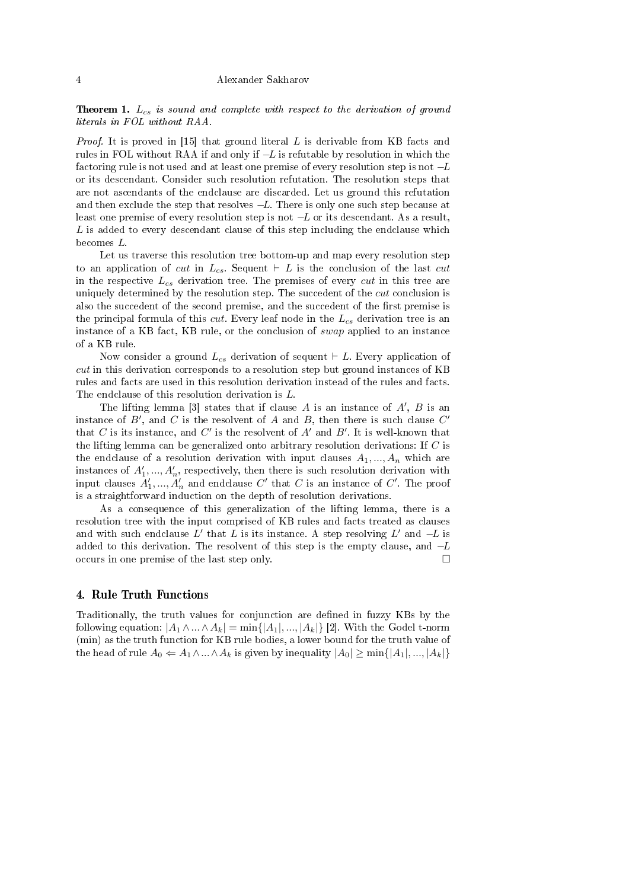**Theorem 1.**  $L_{cs}$  is sound and complete with respect to the derivation of ground literals in FOL without RAA.

*Proof.* It is proved in [15] that ground literal L is derivable from KB facts and rules in FOL without RAA if and only if  $-L$  is refutable by resolution in which the factoring rule is not used and at least one premise of every resolution step is not −L or its descendant. Consider such resolution refutation. The resolution steps that are not ascendants of the endclause are discarded. Let us ground this refutation and then exclude the step that resolves  $-L$ . There is only one such step because at least one premise of every resolution step is not  $-L$  or its descendant. As a result, L is added to every descendant clause of this step including the endclause which becomes L.

Let us traverse this resolution tree bottom-up and map every resolution step to an application of cut in  $L_{cs}$ . Sequent  $\vdash L$  is the conclusion of the last cut in the respective  $L_{cs}$  derivation tree. The premises of every cut in this tree are uniquely determined by the resolution step. The succedent of the *cut* conclusion is also the succedent of the second premise, and the succedent of the first premise is the principal formula of this *cut*. Every leaf node in the  $L_{cs}$  derivation tree is an instance of a KB fact, KB rule, or the conclusion of swap applied to an instance of a KB rule.

Now consider a ground  $L_{cs}$  derivation of sequent  $\vdash L$ . Every application of cut in this derivation corresponds to a resolution step but ground instances of KB rules and facts are used in this resolution derivation instead of the rules and facts. The endclause of this resolution derivation is L.

The lifting lemma [3] states that if clause  $A$  is an instance of  $A'$ ,  $B$  is an instance of  $B'$ , and C is the resolvent of A and B, then there is such clause  $C'$ that C is its instance, and C' is the resolvent of  $A'$  and  $B'$ . It is well-known that the lifting lemma can be generalized onto arbitrary resolution derivations: If C is the endclause of a resolution derivation with input clauses  $A_1, ..., A_n$  which are instances of  $A'_1, ..., A'_n$ , respectively, then there is such resolution derivation with input clauses  $A'_1, ..., A'_n$  and endclause  $C'$  that  $C$  is an instance of  $C'$ . The proof is a straightforward induction on the depth of resolution derivations.

As a consequence of this generalization of the lifting lemma, there is a resolution tree with the input comprised of KB rules and facts treated as clauses and with such endclause  $L'$  that  $L$  is its instance. A step resolving  $L'$  and  $-L$  is added to this derivation. The resolvent of this step is the empty clause, and −L occurs in one premise of the last step only.

## 4. Rule Truth Functions

Traditionally, the truth values for conjunction are dened in fuzzy KBs by the following equation:  $|A_1 \wedge ... \wedge A_k| = \min\{|A_1|, ..., |A_k|\}$  [2]. With the Godel t-norm (min) as the truth function for KB rule bodies, a lower bound for the truth value of the head of rule  $A_0 \leftarrow A_1 \wedge ... \wedge A_k$  is given by inequality  $|A_0| \ge \min\{|A_1|, ..., |A_k|\}$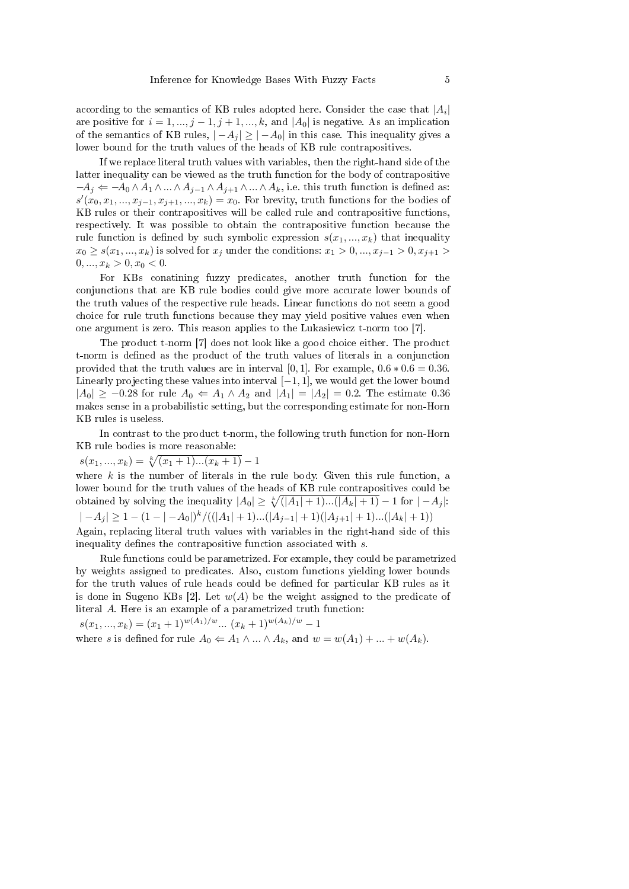according to the semantics of KB rules adopted here. Consider the case that  $|A_i|$ are positive for  $i = 1, ..., j - 1, j + 1, ..., k$ , and  $|A_0|$  is negative. As an implication of the semantics of KB rules,  $|-A_i| \geq |-A_0|$  in this case. This inequality gives a lower bound for the truth values of the heads of KB rule contrapositives.

If we replace literal truth values with variables, then the right-hand side of the latter inequality can be viewed as the truth function for the body of contrapositive  $-A_j \leftarrow -A_0 \wedge A_1 \wedge ... \wedge A_{j-1} \wedge A_{j+1} \wedge ... \wedge A_k$ , i.e. this truth function is defined as:  $s'(x_0, x_1, \ldots, x_{j-1}, x_{j+1}, \ldots, x_k) = x_0$ . For brevity, truth functions for the bodies of KB rules or their contrapositives will be called rule and contrapositive functions, respectively. It was possible to obtain the contrapositive function because the rule function is defined by such symbolic expression  $s(x_1, ..., x_k)$  that inequality  $x_0 \ge s(x_1, ..., x_k)$  is solved for  $x_j$  under the conditions:  $x_1 > 0, ..., x_{j-1} > 0, x_{j+1} >$  $0, ..., x_k > 0, x_0 < 0.$ 

For KBs conatining fuzzy predicates, another truth function for the conjunctions that are KB rule bodies could give more accurate lower bounds of the truth values of the respective rule heads. Linear functions do not seem a good choice for rule truth functions because they may yield positive values even when one argument is zero. This reason applies to the Lukasiewicz t-norm too [7].

The product t-norm [7] does not look like a good choice either. The product t-norm is defined as the product of the truth values of literals in a conjunction provided that the truth values are in interval [0, 1]. For example,  $0.6 * 0.6 = 0.36$ . Linearly projecting these values into interval  $[-1, 1]$ , we would get the lower bound  $|A_0| \ge -0.28$  for rule  $A_0 \Leftarrow A_1 \wedge A_2$  and  $|A_1| = |A_2| = 0.2$ . The estimate 0.36 makes sense in a probabilistic setting, but the corresponding estimate for non-Horn KB rules is useless.

In contrast to the product t-norm, the following truth function for non-Horn KB rule bodies is more reasonable:

$$
s(x_1, ..., x_k) = \sqrt[k]{(x_1 + 1)...(x_k + 1)} - 1
$$

where  $k$  is the number of literals in the rule body. Given this rule function, a lower bound for the truth values of the heads of KB rule contrapositives could be obtained by solving the inequality  $|A_0| \geq \sqrt[k]{(|A_1| + 1)...(|A_k| + 1)} - 1$  for  $|-A_j|$ :  $|-A_j| \geq 1-(1-|-A_0|)^k/((|A_1|+1)...(|A_{j-1}|+1)(|A_{j+1}|+1)...(|A_k|+1))$ Again, replacing literal truth values with variables in the right-hand side of this inequality defines the contrapositive function associated with  $s$ .

Rule functions could be parametrized. For example, they could be parametrized by weights assigned to predicates. Also, custom functions yielding lower bounds for the truth values of rule heads could be defined for particular KB rules as it is done in Sugeno KBs [2]. Let  $w(A)$  be the weight assigned to the predicate of literal A. Here is an example of a parametrized truth function:

 $s(x_1, ..., x_k) = (x_1 + 1)^{w(A_1)/w} ... (x_k + 1)^{w(A_k)/w} - 1$ 

where s is defined for rule  $A_0 \leftarrow A_1 \wedge ... \wedge A_k$ , and  $w = w(A_1) + ... + w(A_k)$ .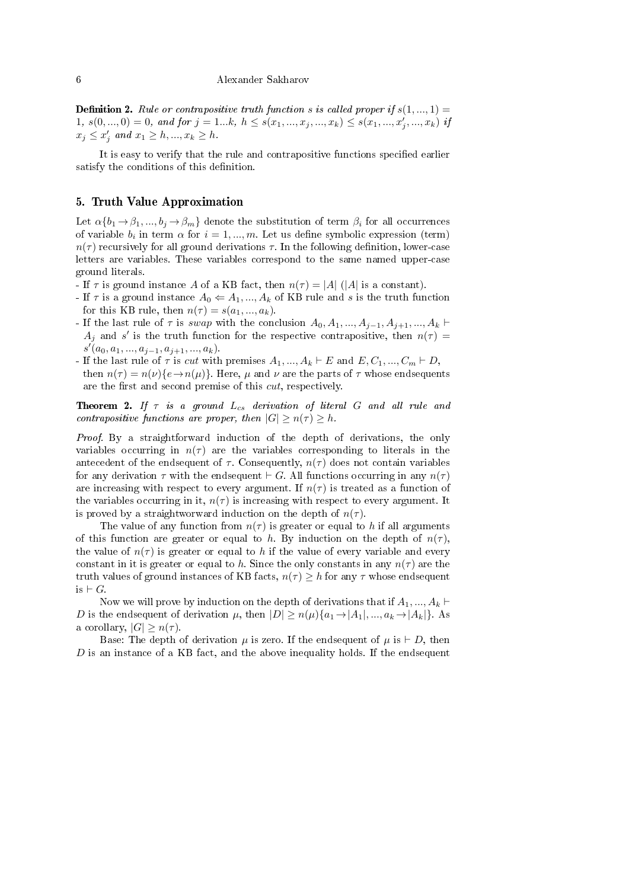#### 6 Alexander Sakharov

**Definition 2.** Rule or contrapositive truth function s is called proper if  $s(1, ..., 1)$ 1,  $s(0, ..., 0) = 0$ , and for  $j = 1...k$ ,  $h \leq s(x_1, ..., x_j, ..., x_k) \leq s(x_1, ..., x'_j, ..., x_k)$  if  $x_j \le x'_j$  and  $x_1 \ge h, ..., x_k \ge h$ .

It is easy to verify that the rule and contrapositive functions specified earlier satisfy the conditions of this definition.

## 5. Truth Value Approximation

Let  $\alpha\{b_1 \rightarrow \beta_1, ..., b_j \rightarrow \beta_m\}$  denote the substitution of term  $\beta_i$  for all occurrences of variable  $b_i$  in term  $\alpha$  for  $i = 1, ..., m$ . Let us define symbolic expression (term)  $n(\tau)$  recursively for all ground derivations  $\tau$ . In the following definition, lower-case letters are variables. These variables correspond to the same named upper-case ground literals.

- If  $\tau$  is ground instance A of a KB fact, then  $n(\tau) = |A|$  (|A| is a constant).
- If  $\tau$  is a ground instance  $A_0 \leftarrow A_1, ..., A_k$  of KB rule and s is the truth function for this KB rule, then  $n(\tau) = s(a_1, ..., a_k)$ .
- If the last rule of  $\tau$  is swap with the conclusion  $A_0, A_1, ..., A_{j-1}, A_{j+1}, ..., A_k$  $A_j$  and s' is the truth function for the respective contrapositive, then  $n(\tau) =$  $s'(a_0, a_1, ..., a_{j-1}, a_{j+1}, ..., a_k).$
- If the last rule of  $\tau$  is cut with premises  $A_1, ..., A_k \vdash E$  and  $E, C_1, ..., C_m \vdash D$ ,
- then  $n(\tau) = n(\nu) \{e \rightarrow n(\mu)\}\$ . Here,  $\mu$  and  $\nu$  are the parts of  $\tau$  whose endsequents are the first and second premise of this *cut*, respectively.

**Theorem 2.** If  $\tau$  is a ground  $L_{cs}$  derivation of literal G and all rule and contrapositive functions are proper, then  $|G| \geq n(\tau) \geq h$ .

Proof. By a straightforward induction of the depth of derivations, the only variables occurring in  $n(\tau)$  are the variables corresponding to literals in the antecedent of the endsequent of  $\tau$ . Consequently,  $n(\tau)$  does not contain variables for any derivation  $\tau$  with the endsequent  $\vdash G$ . All functions occurring in any  $n(\tau)$ are increasing with respect to every argument. If  $n(\tau)$  is treated as a function of the variables occurring in it,  $n(\tau)$  is increasing with respect to every argument. It is proved by a straightworward induction on the depth of  $n(\tau)$ .

The value of any function from  $n(\tau)$  is greater or equal to h if all arguments of this function are greater or equal to h. By induction on the depth of  $n(\tau)$ , the value of  $n(\tau)$  is greater or equal to h if the value of every variable and every constant in it is greater or equal to h. Since the only constants in any  $n(\tau)$  are the truth values of ground instances of KB facts,  $n(\tau) \geq h$  for any  $\tau$  whose endsequent is  $\vdash G$ .

Now we will prove by induction on the depth of derivations that if  $A_1, ..., A_k \vdash$ D is the endsequent of derivation  $\mu$ , then  $|D| \geq n(\mu)\{a_1 \to |A_1|, ..., a_k \to |A_k|\}$ . As a corollary,  $|G| \geq n(\tau)$ .

Base: The depth of derivation  $\mu$  is zero. If the endsequent of  $\mu$  is  $\vdash D$ , then  $D$  is an instance of a KB fact, and the above inequality holds. If the endsequent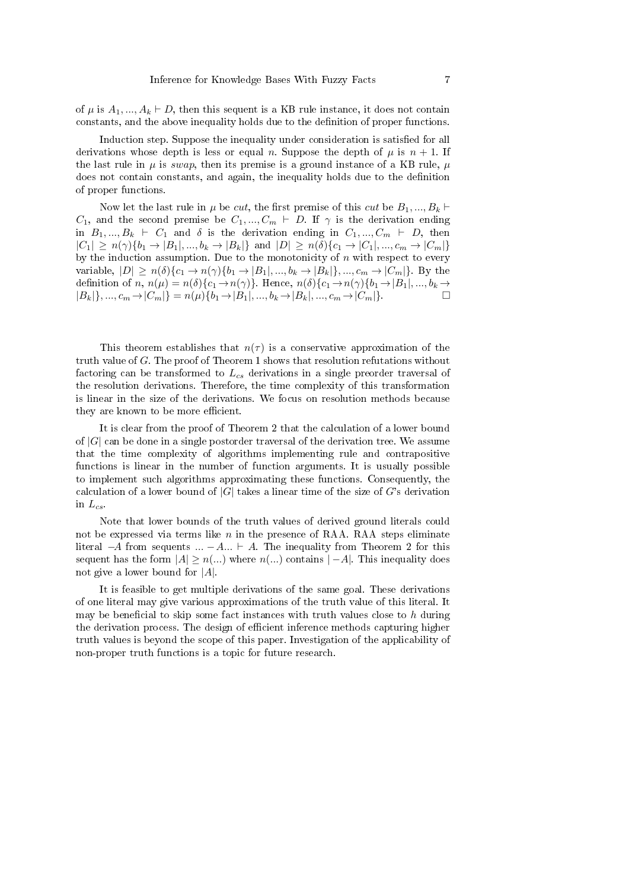of  $\mu$  is  $A_1, ..., A_k \vdash D$ , then this sequent is a KB rule instance, it does not contain constants, and the above inequality holds due to the denition of proper functions.

Induction step. Suppose the inequality under consideration is satisfied for all derivations whose depth is less or equal n. Suppose the depth of  $\mu$  is  $n + 1$ . If the last rule in  $\mu$  is swap, then its premise is a ground instance of a KB rule,  $\mu$ does not contain constants, and again, the inequality holds due to the definition of proper functions.

Now let the last rule in  $\mu$  be *cut*, the first premise of this *cut* be  $B_1, ..., B_k \vdash$  $C_1$ , and the second premise be  $C_1, ..., C_m \vdash D$ . If  $\gamma$  is the derivation ending in  $B_1, ..., B_k \vdash C_1$  and  $\delta$  is the derivation ending in  $C_1, ..., C_m \vdash D$ , then  $|C_1| \ge n(\gamma)\{b_1 \to |B_1|, ..., b_k \to |B_k|\}$  and  $|D| \ge n(\delta)\{c_1 \to |C_1|, ..., c_m \to |C_m|\}$ by the induction assumption. Due to the monotonicity of  $n$  with respect to every variable,  $|D| \ge n(\delta)\{c_1 \to n(\gamma)\{b_1 \to |B_1|, ..., b_k \to |B_k|\}, ..., c_m \to |C_m|\}.$  By the definition of n,  $n(\mu) = n(\delta)\{c_1 \to n(\gamma)\}\)$ . Hence,  $n(\delta)\{c_1 \to n(\gamma)\{b_1 \to |B_1|, ..., b_k \to k\}\$  $|B_k|, ..., c_m \to |C_m|$  =  $n(\mu)\{b_1 \to |B_1|, ..., b_k \to |B_k|, ..., c_m \to |C_m|\}.$ 

This theorem establishes that  $n(\tau)$  is a conservative approximation of the truth value of G. The proof of Theorem 1 shows that resolution refutations without factoring can be transformed to  $L_{cs}$  derivations in a single preorder traversal of the resolution derivations. Therefore, the time complexity of this transformation is linear in the size of the derivations. We focus on resolution methods because they are known to be more efficient.

It is clear from the proof of Theorem 2 that the calculation of a lower bound of  $|G|$  can be done in a single postorder traversal of the derivation tree. We assume that the time complexity of algorithms implementing rule and contrapositive functions is linear in the number of function arguments. It is usually possible to implement such algorithms approximating these functions. Consequently, the calculation of a lower bound of  $|G|$  takes a linear time of the size of G's derivation in  $L_{cs}$ .

Note that lower bounds of the truth values of derived ground literals could not be expressed via terms like  $n$  in the presence of RAA. RAA steps eliminate literal  $-A$  from sequents  $... - A... \vdash A$ . The inequality from Theorem 2 for this sequent has the form  $|A| \geq n$ ...) where  $n$ ...) contains  $|-A|$ . This inequality does not give a lower bound for  $|A|$ .

It is feasible to get multiple derivations of the same goal. These derivations of one literal may give various approximations of the truth value of this literal. It may be beneficial to skip some fact instances with truth values close to  $h$  during the derivation process. The design of efficient inference methods capturing higher truth values is beyond the scope of this paper. Investigation of the applicability of non-proper truth functions is a topic for future research.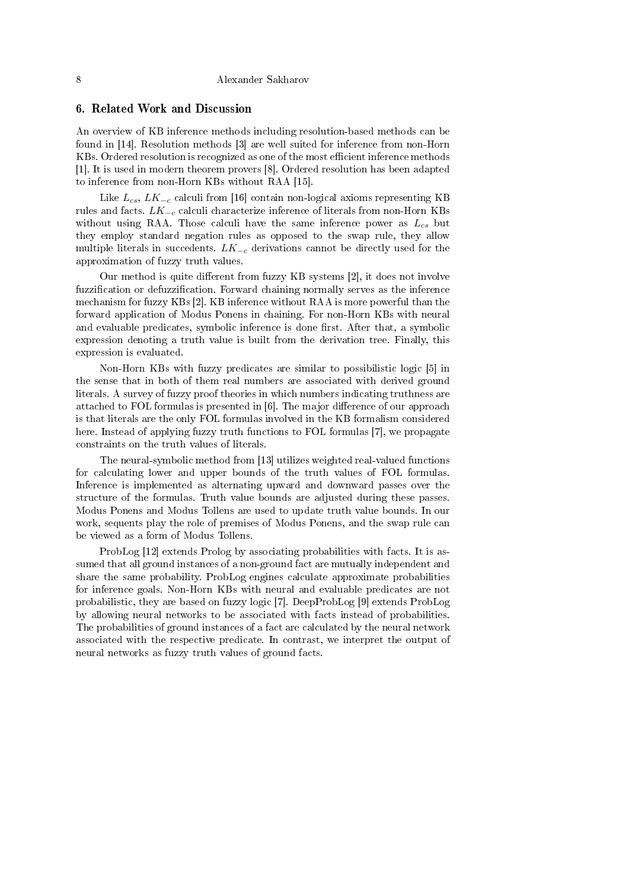## 6. Related Work and Discussion

An overview of KB inference methods including resolution-based methods can be found in [14]. Resolution methods [3] are well suited for inference from non-Horn KBs. Ordered resolution is recognized as one of the most efficient inference methods [1]. It is used in modern theorem provers [8]. Ordered resolution has been adapted to inference from non-Horn KBs without RAA [15].

Like  $L_{cs}$ ,  $LK_{-c}$  calculi from [16] contain non-logical axioms representing KB rules and facts.  $LK_{-c}$  calculi characterize inference of literals from non-Horn KBs without using RAA. Those calculi have the same inference power as  $L_{cs}$  but they employ standard negation rules as opposed to the swap rule, they allow multiple literals in succedents.  $LK_{-c}$  derivations cannot be directly used for the approximation of fuzzy truth values.

Our method is quite different from fuzzy KB systems [2], it does not involve fuzzification or defuzzification. Forward chaining normally serves as the inference mechanism for fuzzy KBs [2]. KB inference without RAA is more powerful than the forward application of Modus Ponens in chaining. For non-Horn KBs with neural and evaluable predicates, symbolic inference is done first. After that, a symbolic expression denoting a truth value is built from the derivation tree. Finally, this expression is evaluated.

Non-Horn KBs with fuzzy predicates are similar to possibilistic logic [5] in the sense that in both of them real numbers are associated with derived ground literals. A survey of fuzzy proof theories in which numbers indicating truthness are attached to FOL formulas is presented in  $[6]$ . The major difference of our approach is that literals are the only FOL formulas involved in the KB formalism considered here. Instead of applying fuzzy truth functions to FOL formulas [7], we propagate constraints on the truth values of literals.

The neural-symbolic method from [13] utilizes weighted real-valued functions for calculating lower and upper bounds of the truth values of FOL formulas. Inference is implemented as alternating upward and downward passes over the structure of the formulas. Truth value bounds are adjusted during these passes. Modus Ponens and Modus Tollens are used to update truth value bounds. In our work, sequents play the role of premises of Modus Ponens, and the swap rule can be viewed as a form of Modus Tollens.

ProbLog [12] extends Prolog by associating probabilities with facts. It is assumed that all ground instances of a non-ground fact are mutually independent and share the same probability. ProbLog engines calculate approximate probabilities for inference goals. Non-Horn KBs with neural and evaluable predicates are not probabilistic, they are based on fuzzy logic [7]. DeepProbLog [9] extends ProbLog by allowing neural networks to be associated with facts instead of probabilities. The probabilities of ground instances of a fact are calculated by the neural network associated with the respective predicate. In contrast, we interpret the output of neural networks as fuzzy truth values of ground facts.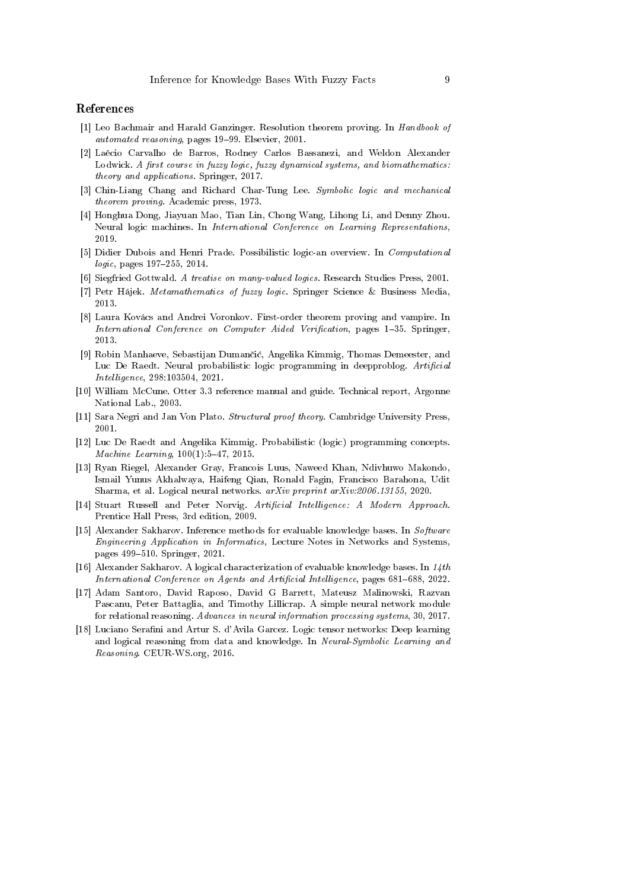## References

- [1] Leo Bachmair and Harald Ganzinger. Resolution theorem proving. In Handbook of automated reasoning, pages 19-99. Elsevier, 2001.
- [2] Laécio Carvalho de Barros, Rodney Carlos Bassanezi, and Weldon Alexander Lodwick. A first course in fuzzy logic, fuzzy dynamical systems, and biomathematics: theory and applications. Springer, 2017.
- [3] Chin-Liang Chang and Richard Char-Tung Lee. Symbolic logic and mechanical theorem proving. Academic press, 1973.
- [4] Honghua Dong, Jiayuan Mao, Tian Lin, Chong Wang, Lihong Li, and Denny Zhou. Neural logic machines. In International Conference on Learning Representations, 2019.
- [5] Didier Dubois and Henri Prade. Possibilistic logic-an overview. In Computational  $logic, pages 197-255, 2014.$
- [6] Siegfried Gottwald. A treatise on many-valued logics. Research Studies Press, 2001.
- [7] Petr Hájek. Metamathematics of fuzzy logic. Springer Science & Business Media, 2013.
- [8] Laura Kovács and Andrei Voronkov. First-order theorem proving and vampire. In International Conference on Computer Aided Verification, pages 1-35. Springer, 2013.
- [9] Robin Manhaeve, Sebastijan Duman£i¢, Angelika Kimmig, Thomas Demeester, and Luc De Raedt. Neural probabilistic logic programming in deepproblog. Artificial Intelligence, 298:103504, 2021.
- [10] William McCune. Otter 3.3 reference manual and guide. Technical report, Argonne National Lab., 2003.
- [11] Sara Negri and Jan Von Plato. Structural proof theory. Cambridge University Press, 2001.
- [12] Luc De Raedt and Angelika Kimmig. Probabilistic (logic) programming concepts. Machine Learning, 100(1):5-47, 2015.
- [13] Ryan Riegel, Alexander Gray, Francois Luus, Naweed Khan, Ndivhuwo Makondo, Ismail Yunus Akhalwaya, Haifeng Qian, Ronald Fagin, Francisco Barahona, Udit Sharma, et al. Logical neural networks. arXiv preprint arXiv:2006.13155, 2020.
- [14] Stuart Russell and Peter Norvig. Artificial Intelligence: A Modern Approach. Prentice Hall Press, 3rd edition, 2009.
- [15] Alexander Sakharov. Inference methods for evaluable knowledge bases. In Software Engineering Application in Informatics, Lecture Notes in Networks and Systems, pages 499-510. Springer, 2021.
- [16] Alexander Sakharov. A logical characterization of evaluable knowledge bases. In 14th International Conference on Agents and Artificial Intelligence, pages 681-688, 2022.
- [17] Adam Santoro, David Raposo, David G Barrett, Mateusz Malinowski, Razvan Pascanu, Peter Battaglia, and Timothy Lillicrap. A simple neural network module for relational reasoning. Advances in neural information processing systems, 30, 2017.
- [18] Luciano Serafini and Artur S. d'Avila Garcez. Logic tensor networks: Deep learning and logical reasoning from data and knowledge. In Neural-Symbolic Learning and Reasoning. CEUR-WS.org, 2016.